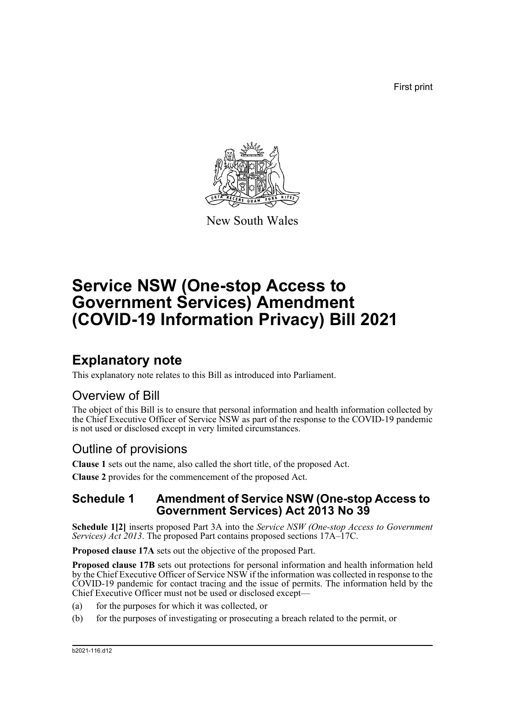First print



New South Wales

# **Service NSW (One-stop Access to Government Services) Amendment (COVID-19 Information Privacy) Bill 2021**

## **Explanatory note**

This explanatory note relates to this Bill as introduced into Parliament.

#### Overview of Bill

The object of this Bill is to ensure that personal information and health information collected by the Chief Executive Officer of Service NSW as part of the response to the COVID-19 pandemic is not used or disclosed except in very limited circumstances.

### Outline of provisions

**Clause 1** sets out the name, also called the short title, of the proposed Act.

**Clause 2** provides for the commencement of the proposed Act.

#### **Schedule 1 Amendment of Service NSW (One-stop Access to Government Services) Act 2013 No 39**

**Schedule 1[2]** inserts proposed Part 3A into the *Service NSW (One-stop Access to Government Services) Act 2013*. The proposed Part contains proposed sections 17A–17C.

**Proposed clause 17A** sets out the objective of the proposed Part.

**Proposed clause 17B** sets out protections for personal information and health information held by the Chief Executive Officer of Service NSW if the information was collected in response to the COVID-19 pandemic for contact tracing and the issue of permits. The information held by the Chief Executive Officer must not be used or disclosed except—

- (a) for the purposes for which it was collected, or
- (b) for the purposes of investigating or prosecuting a breach related to the permit, or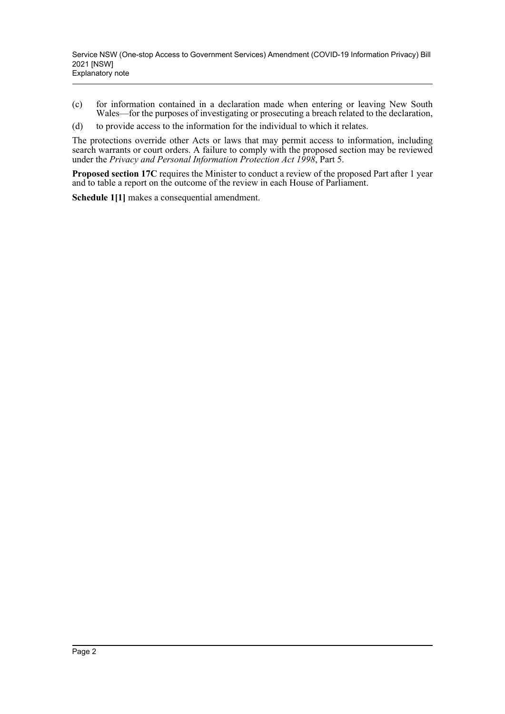- (c) for information contained in a declaration made when entering or leaving New South Wales—for the purposes of investigating or prosecuting a breach related to the declaration,
- (d) to provide access to the information for the individual to which it relates.

The protections override other Acts or laws that may permit access to information, including search warrants or court orders. A failure to comply with the proposed section may be reviewed under the *Privacy and Personal Information Protection Act 1998*, Part 5.

**Proposed section 17C** requires the Minister to conduct a review of the proposed Part after 1 year and to table a report on the outcome of the review in each House of Parliament.

**Schedule 1[1]** makes a consequential amendment.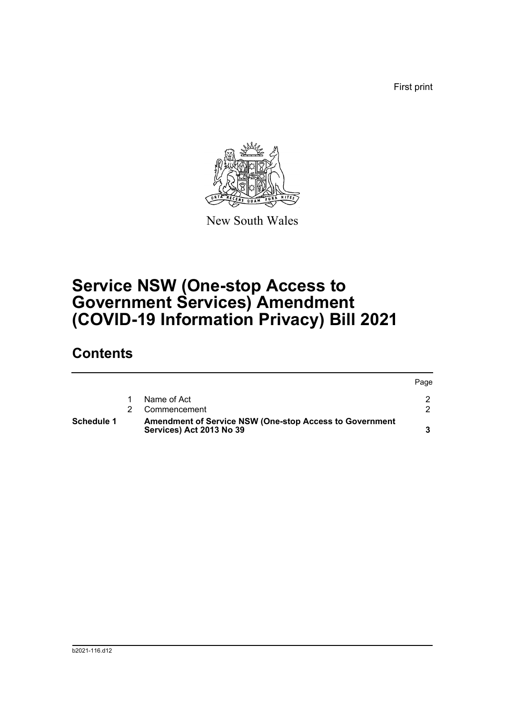First print



New South Wales

## **Service NSW (One-stop Access to Government Services) Amendment (COVID-19 Information Privacy) Bill 2021**

### **Contents**

| Schedule 1<br>Services) Act 2013 No 39 |  | <b>Amendment of Service NSW (One-stop Access to Government</b> |      |
|----------------------------------------|--|----------------------------------------------------------------|------|
|                                        |  | Commencement                                                   |      |
|                                        |  | Name of Act                                                    |      |
|                                        |  |                                                                | Page |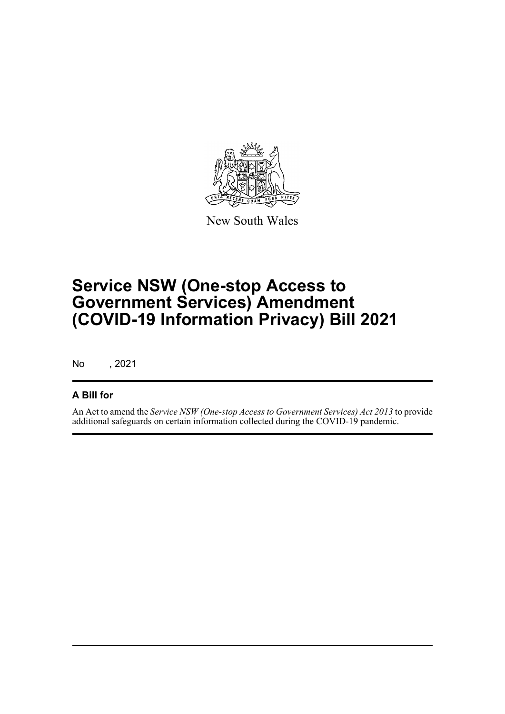

New South Wales

## **Service NSW (One-stop Access to Government Services) Amendment (COVID-19 Information Privacy) Bill 2021**

No , 2021

#### **A Bill for**

An Act to amend the *Service NSW (One-stop Access to Government Services) Act 2013* to provide additional safeguards on certain information collected during the COVID-19 pandemic.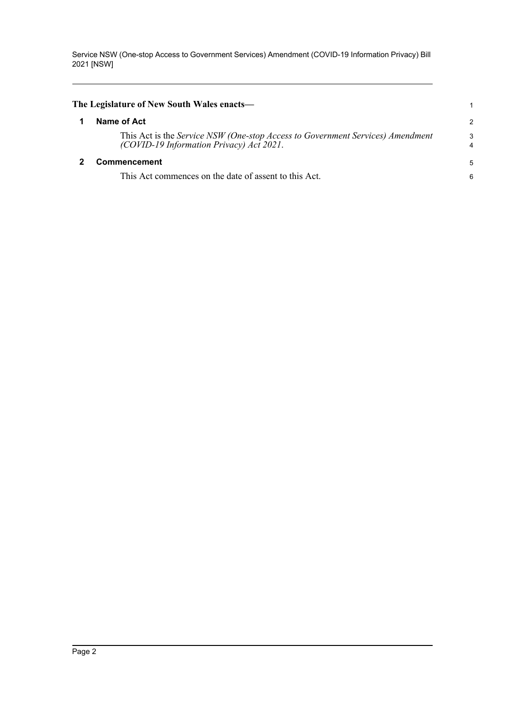Service NSW (One-stop Access to Government Services) Amendment (COVID-19 Information Privacy) Bill 2021 [NSW]

<span id="page-4-1"></span><span id="page-4-0"></span>

| The Legislature of New South Wales enacts—                                                                                 | 1             |
|----------------------------------------------------------------------------------------------------------------------------|---------------|
| Name of Act                                                                                                                | $\mathcal{P}$ |
| This Act is the Service NSW (One-stop Access to Government Services) Amendment<br>(COVID-19 Information Privacy) Act 2021. | 3             |
| <b>Commencement</b>                                                                                                        |               |
| This Act commences on the date of assent to this Act.                                                                      | 6             |
|                                                                                                                            |               |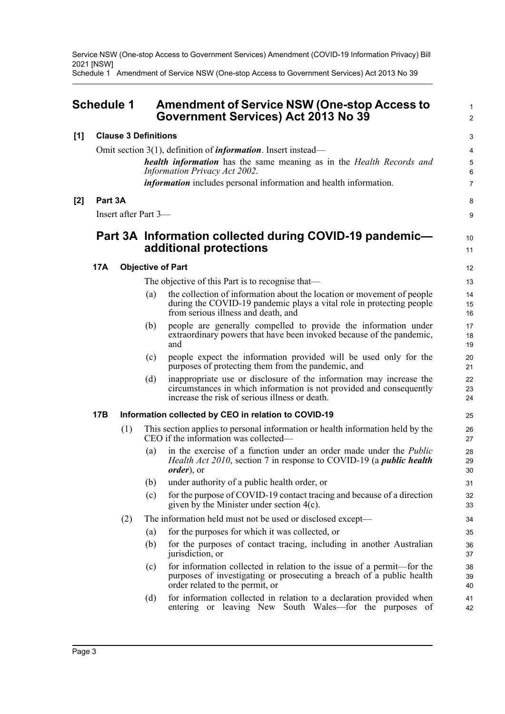Service NSW (One-stop Access to Government Services) Amendment (COVID-19 Information Privacy) Bill 2021 [NSW]

Schedule 1 Amendment of Service NSW (One-stop Access to Government Services) Act 2013 No 39

<span id="page-5-0"></span>

| <b>Schedule 1</b> |            |                             | <b>Amendment of Service NSW (One-stop Access to</b><br>Government Services) Act 2013 No 39 |                                                                                                                                                                                              |                       |
|-------------------|------------|-----------------------------|--------------------------------------------------------------------------------------------|----------------------------------------------------------------------------------------------------------------------------------------------------------------------------------------------|-----------------------|
| [1]               |            | <b>Clause 3 Definitions</b> |                                                                                            |                                                                                                                                                                                              | 3                     |
|                   |            |                             |                                                                                            | Omit section $3(1)$ , definition of <i>information</i> . Insert instead—                                                                                                                     | 4                     |
|                   |            |                             |                                                                                            | health information has the same meaning as in the Health Records and<br><b>Information Privacy Act 2002.</b>                                                                                 | $\mathbf 5$<br>6      |
|                   |            |                             |                                                                                            | <i>information</i> includes personal information and health information.                                                                                                                     | $\overline{7}$        |
| [2]               | Part 3A    |                             |                                                                                            |                                                                                                                                                                                              | 8                     |
|                   |            | Insert after Part 3-        |                                                                                            |                                                                                                                                                                                              | 9                     |
|                   |            |                             |                                                                                            | Part 3A Information collected during COVID-19 pandemic—<br>additional protections                                                                                                            | 10 <sup>1</sup><br>11 |
|                   | <b>17A</b> |                             |                                                                                            | <b>Objective of Part</b>                                                                                                                                                                     | $12 \,$               |
|                   |            |                             |                                                                                            | The objective of this Part is to recognise that—                                                                                                                                             | 13                    |
|                   |            |                             | (a)                                                                                        | the collection of information about the location or movement of people<br>during the COVID-19 pandemic plays a vital role in protecting people<br>from serious illness and death, and        | 14<br>15<br>16        |
|                   |            |                             | (b)                                                                                        | people are generally compelled to provide the information under<br>extraordinary powers that have been invoked because of the pandemic,<br>and                                               | 17<br>18<br>19        |
|                   |            |                             | (c)                                                                                        | people expect the information provided will be used only for the<br>purposes of protecting them from the pandemic, and                                                                       | 20<br>21              |
|                   |            |                             | (d)                                                                                        | inappropriate use or disclosure of the information may increase the<br>circumstances in which information is not provided and consequently<br>increase the risk of serious illness or death. | 22<br>23<br>24        |
|                   | 17B        |                             |                                                                                            | Information collected by CEO in relation to COVID-19                                                                                                                                         | 25                    |
|                   |            | (1)                         |                                                                                            | This section applies to personal information or health information held by the<br>CEO if the information was collected—                                                                      | 26<br>27              |
|                   |            |                             | (a)                                                                                        | in the exercise of a function under an order made under the <i>Public</i><br><i>Health Act 2010</i> , section 7 in response to COVID-19 (a <i>public health</i><br><i>order</i> ), or        | 28<br>29<br>30        |
|                   |            |                             | (b)                                                                                        | under authority of a public health order, or                                                                                                                                                 | 31                    |
|                   |            |                             | (c)                                                                                        | for the purpose of COVID-19 contact tracing and because of a direction<br>given by the Minister under section $4(c)$ .                                                                       | 32<br>33              |
|                   |            | (2)                         |                                                                                            | The information held must not be used or disclosed except—                                                                                                                                   | 34                    |
|                   |            |                             | (a)                                                                                        | for the purposes for which it was collected, or                                                                                                                                              | 35                    |
|                   |            |                             | (b)                                                                                        | for the purposes of contact tracing, including in another Australian<br>jurisdiction, or                                                                                                     | 36<br>37              |
|                   |            |                             | (c)                                                                                        | for information collected in relation to the issue of a permit-for the<br>purposes of investigating or prosecuting a breach of a public health<br>order related to the permit, or            | 38<br>39<br>40        |
|                   |            |                             | (d)                                                                                        | for information collected in relation to a declaration provided when<br>entering or leaving New South Wales—for the purposes of                                                              | 41<br>42              |